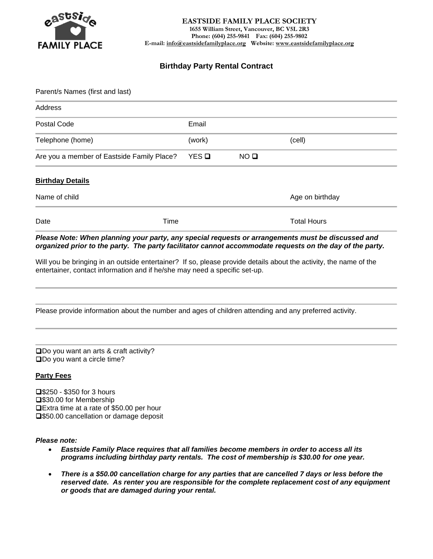

# **Birthday Party Rental Contract**

| Parent/s Names (first and last)            |              |                 |                    |  |  |
|--------------------------------------------|--------------|-----------------|--------------------|--|--|
| Address                                    |              |                 |                    |  |  |
| Postal Code                                | Email        |                 |                    |  |  |
| Telephone (home)                           | (work)       |                 | (cell)             |  |  |
| Are you a member of Eastside Family Place? | YES <b>Q</b> | NO <sub>Q</sub> |                    |  |  |
| <b>Birthday Details</b>                    |              |                 |                    |  |  |
| Name of child                              |              |                 | Age on birthday    |  |  |
| Time<br>Date                               |              |                 | <b>Total Hours</b> |  |  |

*Please Note: When planning your party, any special requests or arrangements must be discussed and organized prior to the party. The party facilitator cannot accommodate requests on the day of the party.*

Will you be bringing in an outside entertainer? If so, please provide details about the activity, the name of the entertainer, contact information and if he/she may need a specific set-up.

Please provide information about the number and ages of children attending and any preferred activity.

❑Do you want an arts & craft activity? ❑Do you want a circle time?

### **Party Fees**

❑\$250 - \$350 for 3 hours ❑\$30.00 for Membership ❑Extra time at a rate of \$50.00 per hour ❑\$50.00 cancellation or damage deposit

*Please note:* 

- *Eastside Family Place requires that all families become members in order to access all its programs including birthday party rentals. The cost of membership is \$30.00 for one year.*
- *There is a \$50.00 cancellation charge for any parties that are cancelled 7 days or less before the reserved date. As renter you are responsible for the complete replacement cost of any equipment or goods that are damaged during your rental.*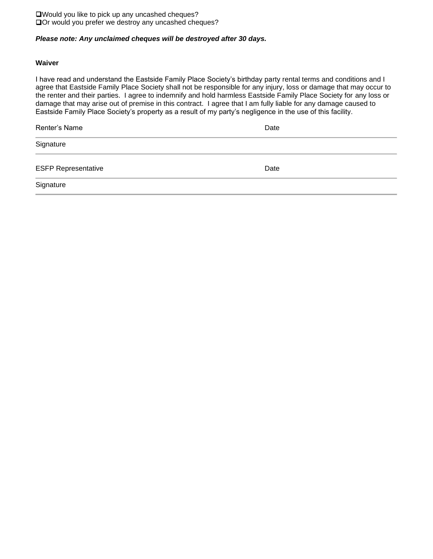❑Would you like to pick up any uncashed cheques? ❑Or would you prefer we destroy any uncashed cheques?

## *Please note: Any unclaimed cheques will be destroyed after 30 days.*

### **Waiver**

I have read and understand the Eastside Family Place Society's birthday party rental terms and conditions and I agree that Eastside Family Place Society shall not be responsible for any injury, loss or damage that may occur to the renter and their parties. I agree to indemnify and hold harmless Eastside Family Place Society for any loss or damage that may arise out of premise in this contract. I agree that I am fully liable for any damage caused to Eastside Family Place Society's property as a result of my party's negligence in the use of this facility.

| Renter's Name              | Date |
|----------------------------|------|
| Signature                  |      |
| <b>ESFP Representative</b> | Date |
| Signature                  |      |